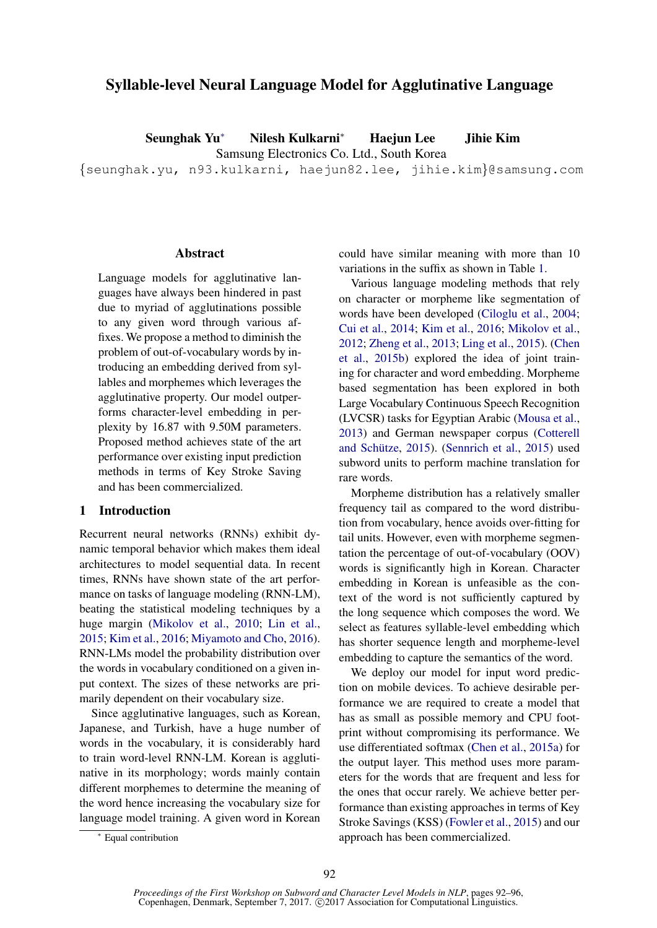# Syllable-level Neural Language Model for Agglutinative Language

Seunghak Yu<sup>∗</sup> Nilesh Kulkarni<sup>∗</sup> Haejun Lee Jihie Kim

Samsung Electronics Co. Ltd., South Korea

{seunghak.yu, n93.kulkarni, haejun82.lee, jihie.kim}@samsung.com

#### Abstract

Language models for agglutinative languages have always been hindered in past due to myriad of agglutinations possible to any given word through various affixes. We propose a method to diminish the problem of out-of-vocabulary words by introducing an embedding derived from syllables and morphemes which leverages the agglutinative property. Our model outperforms character-level embedding in perplexity by 16.87 with 9.50M parameters. Proposed method achieves state of the art performance over existing input prediction methods in terms of Key Stroke Saving and has been commercialized.

## 1 Introduction

Recurrent neural networks (RNNs) exhibit dynamic temporal behavior which makes them ideal architectures to model sequential data. In recent times, RNNs have shown state of the art performance on tasks of language modeling (RNN-LM), beating the statistical modeling techniques by a huge margin (Mikolov et al., 2010; Lin et al., 2015; Kim et al., 2016; Miyamoto and Cho, 2016). RNN-LMs model the probability distribution over the words in vocabulary conditioned on a given input context. The sizes of these networks are primarily dependent on their vocabulary size.

Since agglutinative languages, such as Korean, Japanese, and Turkish, have a huge number of words in the vocabulary, it is considerably hard to train word-level RNN-LM. Korean is agglutinative in its morphology; words mainly contain different morphemes to determine the meaning of the word hence increasing the vocabulary size for language model training. A given word in Korean could have similar meaning with more than 10 variations in the suffix as shown in Table 1.

Various language modeling methods that rely on character or morpheme like segmentation of words have been developed (Ciloglu et al., 2004; Cui et al., 2014; Kim et al., 2016; Mikolov et al., 2012; Zheng et al., 2013; Ling et al., 2015). (Chen et al., 2015b) explored the idea of joint training for character and word embedding. Morpheme based segmentation has been explored in both Large Vocabulary Continuous Speech Recognition (LVCSR) tasks for Egyptian Arabic (Mousa et al., 2013) and German newspaper corpus (Cotterell and Schütze,  $2015$ ). (Sennrich et al.,  $2015$ ) used subword units to perform machine translation for rare words.

Morpheme distribution has a relatively smaller frequency tail as compared to the word distribution from vocabulary, hence avoids over-fitting for tail units. However, even with morpheme segmentation the percentage of out-of-vocabulary (OOV) words is significantly high in Korean. Character embedding in Korean is unfeasible as the context of the word is not sufficiently captured by the long sequence which composes the word. We select as features syllable-level embedding which has shorter sequence length and morpheme-level embedding to capture the semantics of the word.

We deploy our model for input word prediction on mobile devices. To achieve desirable performance we are required to create a model that has as small as possible memory and CPU footprint without compromising its performance. We use differentiated softmax (Chen et al., 2015a) for the output layer. This method uses more parameters for the words that are frequent and less for the ones that occur rarely. We achieve better performance than existing approaches in terms of Key Stroke Savings (KSS) (Fowler et al., 2015) and our approach has been commercialized.

<sup>∗</sup> Equal contribution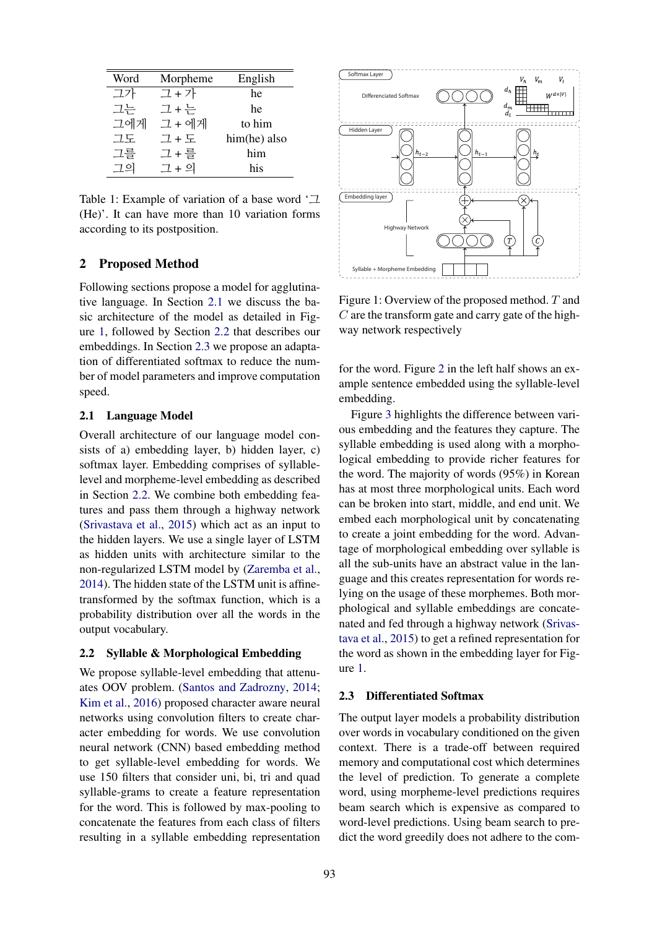| Word | Morpheme | English      |
|------|----------|--------------|
| 고가   | 그 + 가    | he           |
| 그는   | 그+는      | he           |
| 그에게  | 그 + 에게   | to him       |
| 그도   | 그 + 도    | him(he) also |
| 그를   | 그 + 를    | him          |
| 그의   | 그 + 의    | his          |

Table 1: Example of variation of a base word '그 (He)'. It can have more than 10 variation forms according to its postposition.

## 2 Proposed Method

Following sections propose a model for agglutinative language. In Section 2.1 we discuss the basic architecture of the model as detailed in Figure 1, followed by Section 2.2 that describes our embeddings. In Section 2.3 we propose an adaptation of differentiated softmax to reduce the number of model parameters and improve computation speed.

### 2.1 Language Model

Overall architecture of our language model consists of a) embedding layer, b) hidden layer, c) softmax layer. Embedding comprises of syllablelevel and morpheme-level embedding as described in Section 2.2. We combine both embedding features and pass them through a highway network (Srivastava et al., 2015) which act as an input to the hidden layers. We use a single layer of LSTM as hidden units with architecture similar to the non-regularized LSTM model by (Zaremba et al., 2014). The hidden state of the LSTM unit is affinetransformed by the softmax function, which is a probability distribution over all the words in the output vocabulary.

#### 2.2 Syllable & Morphological Embedding

We propose syllable-level embedding that attenuates OOV problem. (Santos and Zadrozny, 2014; Kim et al., 2016) proposed character aware neural networks using convolution filters to create character embedding for words. We use convolution neural network (CNN) based embedding method to get syllable-level embedding for words. We use 150 filters that consider uni, bi, tri and quad syllable-grams to create a feature representation for the word. This is followed by max-pooling to concatenate the features from each class of filters resulting in a syllable embedding representation



Figure 1: Overview of the proposed method. T and  $C$  are the transform gate and carry gate of the highway network respectively

for the word. Figure 2 in the left half shows an example sentence embedded using the syllable-level embedding.

Figure 3 highlights the difference between various embedding and the features they capture. The syllable embedding is used along with a morphological embedding to provide richer features for the word. The majority of words (95%) in Korean has at most three morphological units. Each word can be broken into start, middle, and end unit. We embed each morphological unit by concatenating to create a joint embedding for the word. Advantage of morphological embedding over syllable is all the sub-units have an abstract value in the language and this creates representation for words relying on the usage of these morphemes. Both morphological and syllable embeddings are concatenated and fed through a highway network (Srivastava et al., 2015) to get a refined representation for the word as shown in the embedding layer for Figure 1.

### 2.3 Differentiated Softmax

The output layer models a probability distribution over words in vocabulary conditioned on the given context. There is a trade-off between required memory and computational cost which determines the level of prediction. To generate a complete word, using morpheme-level predictions requires beam search which is expensive as compared to word-level predictions. Using beam search to predict the word greedily does not adhere to the com-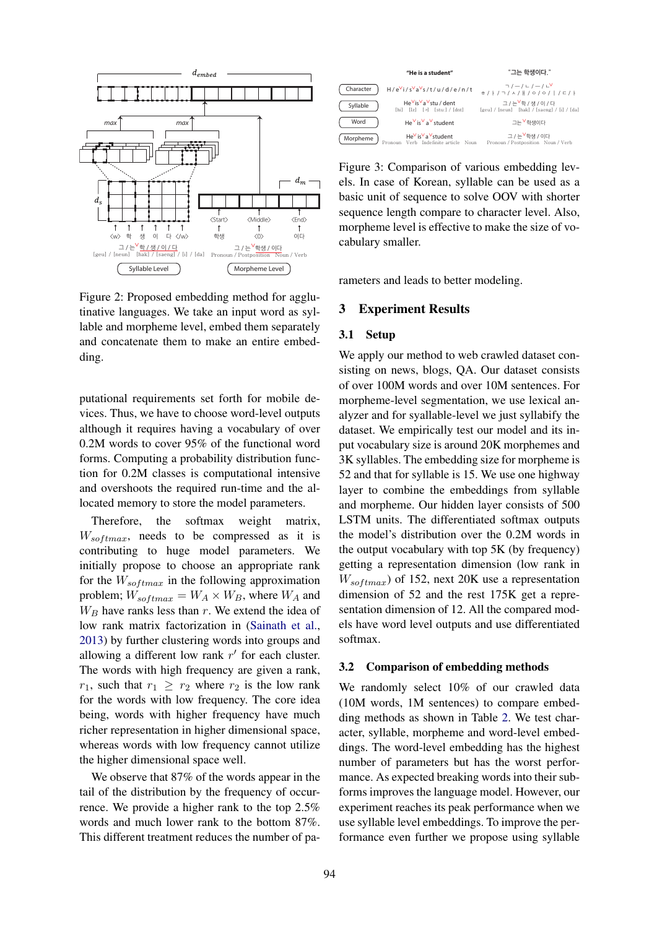

Figure 2: Proposed embedding method for agglutinative languages. We take an input word as syllable and morpheme level, embed them separately and concatenate them to make an entire embedding.

putational requirements set forth for mobile devices. Thus, we have to choose word-level outputs although it requires having a vocabulary of over 0.2M words to cover 95% of the functional word forms. Computing a probability distribution function for 0.2M classes is computational intensive and overshoots the required run-time and the allocated memory to store the model parameters.

Therefore, the softmax weight matrix,  $W_{softmax}$ , needs to be compressed as it is contributing to huge model parameters. We initially propose to choose an appropriate rank for the  $W_{softmax}$  in the following approximation problem;  $W_{softmax} = W_A \times W_B$ , where  $W_A$  and  $W_B$  have ranks less than r. We extend the idea of low rank matrix factorization in (Sainath et al., 2013) by further clustering words into groups and allowing a different low rank  $r'$  for each cluster. The words with high frequency are given a rank,  $r_1$ , such that  $r_1 \geq r_2$  where  $r_2$  is the low rank for the words with low frequency. The core idea being, words with higher frequency have much richer representation in higher dimensional space, whereas words with low frequency cannot utilize the higher dimensional space well.

We observe that 87% of the words appear in the tail of the distribution by the frequency of occurrence. We provide a higher rank to the top 2.5% words and much lower rank to the bottom 87%. This different treatment reduces the number of pa-



Figure 3: Comparison of various embedding levels. In case of Korean, syllable can be used as a basic unit of sequence to solve OOV with shorter sequence length compare to character level. Also, morpheme level is effective to make the size of vocabulary smaller.

rameters and leads to better modeling.

#### 3 Experiment Results

#### 3.1 Setup

We apply our method to web crawled dataset consisting on news, blogs, QA. Our dataset consists of over 100M words and over 10M sentences. For morpheme-level segmentation, we use lexical analyzer and for syallable-level we just syllabify the dataset. We empirically test our model and its input vocabulary size is around 20K morphemes and 3K syllables. The embedding size for morpheme is 52 and that for syllable is 15. We use one highway layer to combine the embeddings from syllable and morpheme. Our hidden layer consists of 500 LSTM units. The differentiated softmax outputs the model's distribution over the 0.2M words in the output vocabulary with top 5K (by frequency) getting a representation dimension (low rank in  $W_{softmax}$ ) of 152, next 20K use a representation dimension of 52 and the rest 175K get a representation dimension of 12. All the compared models have word level outputs and use differentiated softmax.

#### 3.2 Comparison of embedding methods

We randomly select 10% of our crawled data (10M words, 1M sentences) to compare embedding methods as shown in Table 2. We test character, syllable, morpheme and word-level embeddings. The word-level embedding has the highest number of parameters but has the worst performance. As expected breaking words into their subforms improves the language model. However, our experiment reaches its peak performance when we use syllable level embeddings. To improve the performance even further we propose using syllable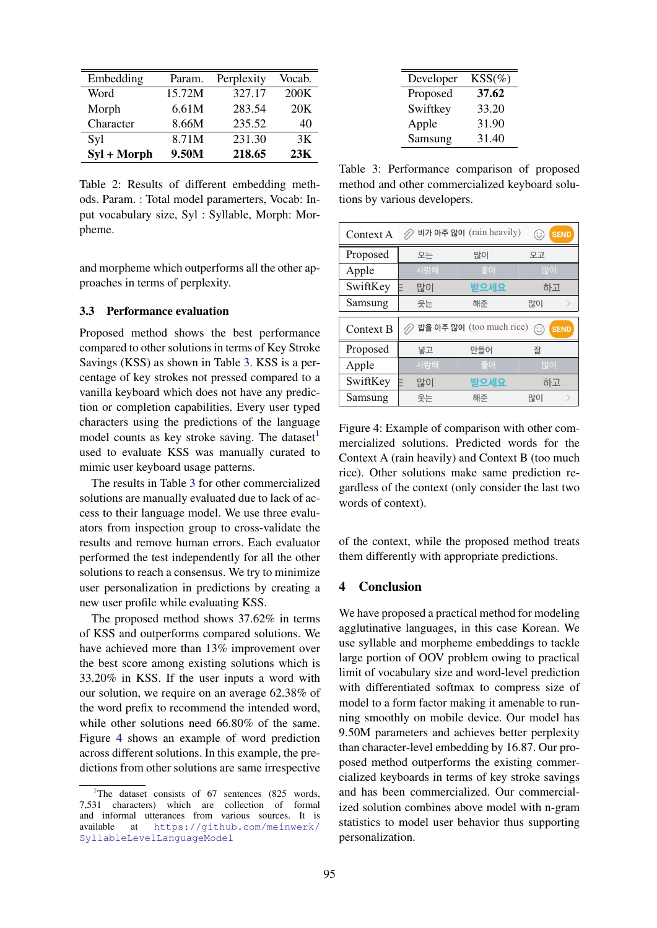| Embedding   | Param. | Perplexity | Vocab.          |
|-------------|--------|------------|-----------------|
| Word        | 15.72M | 327.17     | 200K            |
| Morph       | 6.61M  | 283.54     | 20 <sub>K</sub> |
| Character   | 8.66M  | 235.52     | 40              |
| Syl         | 8.71M  | 231.30     | 3K              |
| Syl + Morph | 9.50M  | 218.65     | 23K             |

Table 2: Results of different embedding methods. Param. : Total model paramerters, Vocab: Input vocabulary size, Syl : Syllable, Morph: Morpheme.

and morpheme which outperforms all the other approaches in terms of perplexity.

### 3.3 Performance evaluation

Proposed method shows the best performance compared to other solutions in terms of Key Stroke Savings (KSS) as shown in Table 3. KSS is a percentage of key strokes not pressed compared to a vanilla keyboard which does not have any prediction or completion capabilities. Every user typed characters using the predictions of the language model counts as key stroke saving. The dataset used to evaluate KSS was manually curated to mimic user keyboard usage patterns.

The results in Table 3 for other commercialized solutions are manually evaluated due to lack of access to their language model. We use three evaluators from inspection group to cross-validate the results and remove human errors. Each evaluator performed the test independently for all the other solutions to reach a consensus. We try to minimize user personalization in predictions by creating a new user profile while evaluating KSS.

The proposed method shows 37.62% in terms of KSS and outperforms compared solutions. We have achieved more than 13% improvement over the best score among existing solutions which is 33.20% in KSS. If the user inputs a word with our solution, we require on an average 62.38% of the word prefix to recommend the intended word, while other solutions need 66.80% of the same. Figure 4 shows an example of word prediction across different solutions. In this example, the predictions from other solutions are same irrespective

| Developer | $KSS(\%)$ |
|-----------|-----------|
| Proposed  | 37.62     |
| Swiftkey  | 33.20     |
| Apple     | 31.90     |
| Samsung   | 31.40     |

Table 3: Performance comparison of proposed method and other commercialized keyboard solutions by various developers.

| Context A | 비가 아주 많이 (rain heavily)<br><b>SEND</b><br>(⊖` |                            |                   |  |
|-----------|-----------------------------------------------|----------------------------|-------------------|--|
| Proposed  | 오는                                            | 많이                         | 오고                |  |
| Apple     | 사랑해                                           | 좋아                         | 많이                |  |
| SwiftKey  | 많이                                            | 받으세요                       | 하고                |  |
| Samsung   | 웃는                                            | 해준                         | 많이                |  |
|           |                                               |                            |                   |  |
|           |                                               |                            |                   |  |
| Context B |                                               | △ 밥을 아주 많이 (too much rice) | <b>SEND</b><br>(∷ |  |
| Proposed  | 넣고                                            | 만들어                        | 잘                 |  |
| Apple     | 사랑해                                           | 좋아                         | 많이                |  |
| SwiftKey  | 많이                                            | 받으세요                       | 하고                |  |

Figure 4: Example of comparison with other commercialized solutions. Predicted words for the Context A (rain heavily) and Context B (too much rice). Other solutions make same prediction regardless of the context (only consider the last two words of context).

of the context, while the proposed method treats them differently with appropriate predictions.

## 4 Conclusion

We have proposed a practical method for modeling agglutinative languages, in this case Korean. We use syllable and morpheme embeddings to tackle large portion of OOV problem owing to practical limit of vocabulary size and word-level prediction with differentiated softmax to compress size of model to a form factor making it amenable to running smoothly on mobile device. Our model has 9.50M parameters and achieves better perplexity than character-level embedding by 16.87. Our proposed method outperforms the existing commercialized keyboards in terms of key stroke savings and has been commercialized. Our commercialized solution combines above model with n-gram statistics to model user behavior thus supporting personalization.

<sup>&</sup>lt;sup>1</sup>The dataset consists of  $67$  sentences (825 words, 7,531 characters) which are collection of formal and informal utterances from various sources. It is available at https://github.com/meinwerk/ SyllableLevelLanguageModel